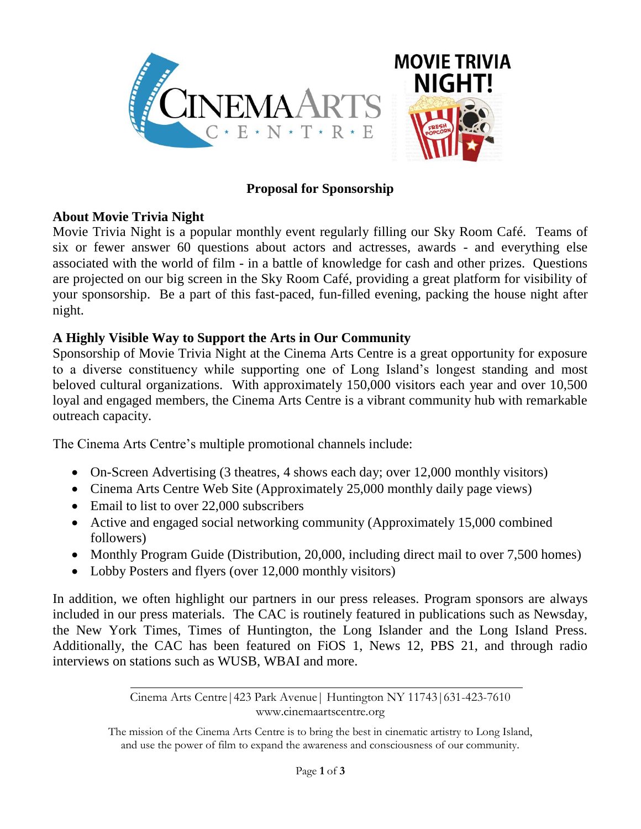

# **Proposal for Sponsorship**

### **About Movie Trivia Night**

Movie Trivia Night is a popular monthly event regularly filling our Sky Room Café. Teams of six or fewer answer 60 questions about actors and actresses, awards - and everything else associated with the world of film - in a battle of knowledge for cash and other prizes. Questions are projected on our big screen in the Sky Room Café, providing a great platform for visibility of your sponsorship. Be a part of this fast-paced, fun-filled evening, packing the house night after night.

## **A Highly Visible Way to Support the Arts in Our Community**

Sponsorship of Movie Trivia Night at the Cinema Arts Centre is a great opportunity for exposure to a diverse constituency while supporting one of Long Island's longest standing and most beloved cultural organizations. With approximately 150,000 visitors each year and over 10,500 loyal and engaged members, the Cinema Arts Centre is a vibrant community hub with remarkable outreach capacity.

The Cinema Arts Centre's multiple promotional channels include:

- On-Screen Advertising (3 theatres, 4 shows each day; over 12,000 monthly visitors)
- Cinema Arts Centre Web Site (Approximately 25,000 monthly daily page views)
- Email to list to over 22,000 subscribers
- Active and engaged social networking community (Approximately 15,000 combined followers)
- Monthly Program Guide (Distribution, 20,000, including direct mail to over 7,500 homes)
- Lobby Posters and flyers (over 12,000 monthly visitors)

In addition, we often highlight our partners in our press releases. Program sponsors are always included in our press materials. The CAC is routinely featured in publications such as Newsday, the New York Times, Times of Huntington, the Long Islander and the Long Island Press. Additionally, the CAC has been featured on FiOS 1, News 12, PBS 21, and through radio interviews on stations such as WUSB, WBAI and more.

> Cinema Arts Centre|423 Park Avenue| Huntington NY 11743|631-423-7610 www.cinemaartscentre.org

The mission of the Cinema Arts Centre is to bring the best in cinematic artistry to Long Island, and use the power of film to expand the awareness and consciousness of our community.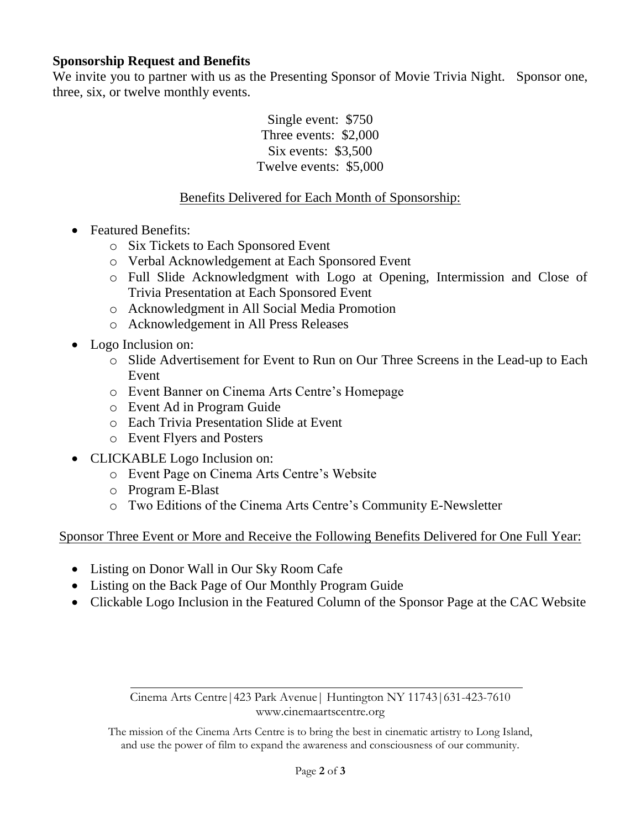### **Sponsorship Request and Benefits**

We invite you to partner with us as the Presenting Sponsor of Movie Trivia Night. Sponsor one, three, six, or twelve monthly events.

> Single event: \$750 Three events: \$2,000 Six events: \$3,500 Twelve events: \$5,000

### Benefits Delivered for Each Month of Sponsorship:

- Featured Benefits:
	- o Six Tickets to Each Sponsored Event
	- o Verbal Acknowledgement at Each Sponsored Event
	- o Full Slide Acknowledgment with Logo at Opening, Intermission and Close of Trivia Presentation at Each Sponsored Event
	- o Acknowledgment in All Social Media Promotion
	- o Acknowledgement in All Press Releases
- Logo Inclusion on:
	- o Slide Advertisement for Event to Run on Our Three Screens in the Lead-up to Each Event
	- o Event Banner on Cinema Arts Centre's Homepage
	- o Event Ad in Program Guide
	- o Each Trivia Presentation Slide at Event
	- o Event Flyers and Posters
- CLICKABLE Logo Inclusion on:
	- o Event Page on Cinema Arts Centre's Website
	- o Program E-Blast
	- o Two Editions of the Cinema Arts Centre's Community E-Newsletter

Sponsor Three Event or More and Receive the Following Benefits Delivered for One Full Year:

- Listing on Donor Wall in Our Sky Room Cafe
- Listing on the Back Page of Our Monthly Program Guide
- Clickable Logo Inclusion in the Featured Column of the Sponsor Page at the CAC Website

Cinema Arts Centre|423 Park Avenue| Huntington NY 11743|631-423-7610 www.cinemaartscentre.org

The mission of the Cinema Arts Centre is to bring the best in cinematic artistry to Long Island, and use the power of film to expand the awareness and consciousness of our community.